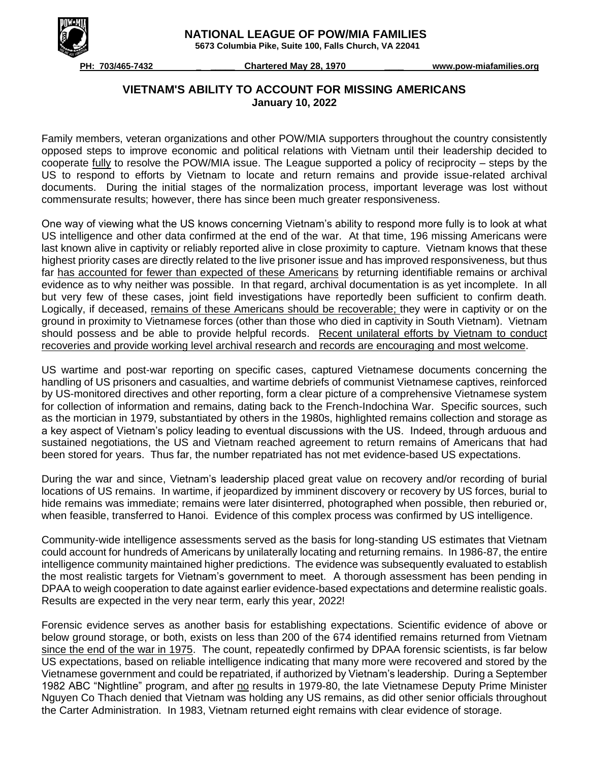

 **NATIONAL LEAGUE OF POW/MIA FAMILIES**

 **5673 Columbia Pike, Suite 100, Falls Church, VA 22041**

 **PH: 703/465-7432 \_ \_\_\_\_\_ Chartered May 28, 1970 \_\_\_\_ www.pow-miafamilies.org**

## **VIETNAM'S ABILITY TO ACCOUNT FOR MISSING AMERICANS January 10, 2022**

Family members, veteran organizations and other POW/MIA supporters throughout the country consistently opposed steps to improve economic and political relations with Vietnam until their leadership decided to cooperate fully to resolve the POW/MIA issue. The League supported a policy of reciprocity – steps by the US to respond to efforts by Vietnam to locate and return remains and provide issue-related archival documents. During the initial stages of the normalization process, important leverage was lost without commensurate results; however, there has since been much greater responsiveness.

One way of viewing what the US knows concerning Vietnam's ability to respond more fully is to look at what US intelligence and other data confirmed at the end of the war. At that time, 196 missing Americans were last known alive in captivity or reliably reported alive in close proximity to capture. Vietnam knows that these highest priority cases are directly related to the live prisoner issue and has improved responsiveness, but thus far has accounted for fewer than expected of these Americans by returning identifiable remains or archival evidence as to why neither was possible. In that regard, archival documentation is as yet incomplete. In all but very few of these cases, joint field investigations have reportedly been sufficient to confirm death. Logically, if deceased, remains of these Americans should be recoverable; they were in captivity or on the ground in proximity to Vietnamese forces (other than those who died in captivity in South Vietnam). Vietnam should possess and be able to provide helpful records. Recent unilateral efforts by Vietnam to conduct recoveries and provide working level archival research and records are encouraging and most welcome.

US wartime and post-war reporting on specific cases, captured Vietnamese documents concerning the handling of US prisoners and casualties, and wartime debriefs of communist Vietnamese captives, reinforced by US-monitored directives and other reporting, form a clear picture of a comprehensive Vietnamese system for collection of information and remains, dating back to the French-Indochina War. Specific sources, such as the mortician in 1979, substantiated by others in the 1980s, highlighted remains collection and storage as a key aspect of Vietnam's policy leading to eventual discussions with the US. Indeed, through arduous and sustained negotiations, the US and Vietnam reached agreement to return remains of Americans that had been stored for years. Thus far, the number repatriated has not met evidence-based US expectations.

During the war and since, Vietnam's leadership placed great value on recovery and/or recording of burial locations of US remains. In wartime, if jeopardized by imminent discovery or recovery by US forces, burial to hide remains was immediate; remains were later disinterred, photographed when possible, then reburied or, when feasible, transferred to Hanoi. Evidence of this complex process was confirmed by US intelligence.

Community-wide intelligence assessments served as the basis for long-standing US estimates that Vietnam could account for hundreds of Americans by unilaterally locating and returning remains. In 1986-87, the entire intelligence community maintained higher predictions. The evidence was subsequently evaluated to establish the most realistic targets for Vietnam's government to meet. A thorough assessment has been pending in DPAA to weigh cooperation to date against earlier evidence-based expectations and determine realistic goals. Results are expected in the very near term, early this year, 2022!

Forensic evidence serves as another basis for establishing expectations. Scientific evidence of above or below ground storage, or both, exists on less than 200 of the 674 identified remains returned from Vietnam since the end of the war in 1975. The count, repeatedly confirmed by DPAA forensic scientists, is far below US expectations, based on reliable intelligence indicating that many more were recovered and stored by the Vietnamese government and could be repatriated, if authorized by Vietnam's leadership. During a September 1982 ABC "Nightline" program, and after no results in 1979-80, the late Vietnamese Deputy Prime Minister Nguyen Co Thach denied that Vietnam was holding any US remains, as did other senior officials throughout the Carter Administration. In 1983, Vietnam returned eight remains with clear evidence of storage.